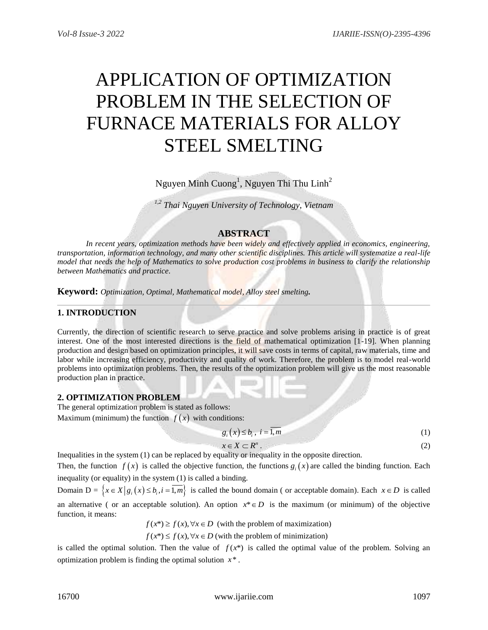# APPLICATION OF OPTIMIZATION PROBLEM IN THE SELECTION OF FURNACE MATERIALS FOR ALLOY STEEL SMELTING

Nguyen Minh Cuong<sup>1</sup>, Nguyen Thi Thu Linh<sup>2</sup>

*1,2 Thai Nguyen University of Technology, Vietnam*

## **ABSTRACT**

*In recent years, optimization methods have been widely and effectively applied in economics, engineering, transportation, information technology, and many other scientific disciplines. This article will systematize a real-life model that needs the help of Mathematics to solve production cost problems in business to clarify the relationship between Mathematics and practice.*

**Keyword:** *Optimization, Optimal, Mathematical model, Alloy steel smelting.*

# **1. INTRODUCTION**

Currently, the direction of scientific research to serve practice and solve problems arising in practice is of great interest. One of the most interested directions is the field of mathematical optimization [1-19]. When planning production and design based on optimization principles, it will save costs in terms of capital, raw materials, time and labor while increasing efficiency, productivity and quality of work. Therefore, the problem is to model real-world problems into optimization problems. Then, the results of the optimization problem will give us the most reasonable production plan in practice.

## **2. OPTIMIZATION PROBLEM**

The general optimization problem is stated as follows: Maximum (minimum) the function  $f(x)$  with conditions:

$$
g_i(x) \le b_i, \ i = \overline{1,m} \tag{1}
$$

$$
x \in X \subset R^n. \tag{2}
$$

Inequalities in the system (1) can be replaced by equality or inequality in the opposite direction.

Then, the function  $f(x)$  is called the objective function, the functions  $g_i(x)$  are called the binding function. Each inequality (or equality) in the system (1) is called a binding.

Domain  $D = \{x \in X | g_i(x) \le b_i, i = \overline{1,m}\}\$ is called the bound domain (or acceptable domain). Each  $x \in D$  is called an alternative (or an acceptable solution). An option  $x^* \in D$  is the maximum (or minimum) of the objective function, it means:

 $f(x^*) \ge f(x), \forall x \in D$  (with the problem of maximization)

 $f(x^*) \le f(x), \forall x \in D$  (with the problem of minimization)

is called the optimal solution. Then the value of  $f(x^*)$  is called the optimal value of the problem. Solving an optimization problem is finding the optimal solution *x* \* .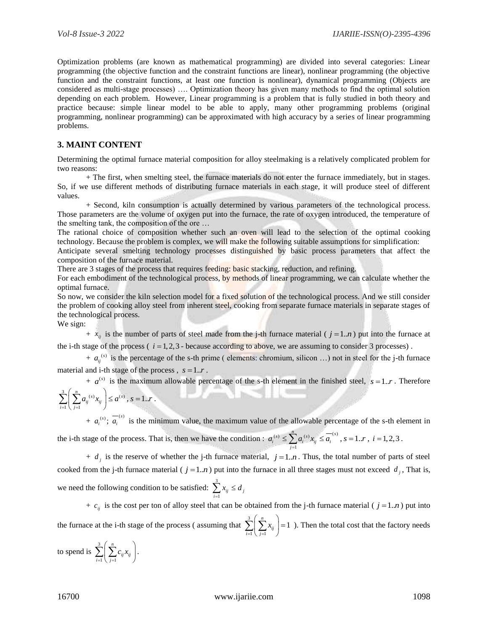Optimization problems (are known as mathematical programming) are divided into several categories: Linear programming (the objective function and the constraint functions are linear), nonlinear programming (the objective function and the constraint functions, at least one function is nonlinear), dynamical programming (Objects are considered as multi-stage processes) …. Optimization theory has given many methods to find the optimal solution depending on each problem. However, Linear programming is a problem that is fully studied in both theory and practice because: simple linear model to be able to apply, many other programming problems (original programming, nonlinear programming) can be approximated with high accuracy by a series of linear programming problems.

## **3. MAINT CONTENT**

Determining the optimal furnace material composition for alloy steelmaking is a relatively complicated problem for two reasons:

+ The first, when smelting steel, the furnace materials do not enter the furnace immediately, but in stages. So, if we use different methods of distributing furnace materials in each stage, it will produce steel of different values.

+ Second, kiln consumption is actually determined by various parameters of the technological process. Those parameters are the volume of oxygen put into the furnace, the rate of oxygen introduced, the temperature of the smelting tank, the composition of the ore …

The rational choice of composition whether such an oven will lead to the selection of the optimal cooking technology. Because the problem is complex, we will make the following suitable assumptions for simplification:

Anticipate several smelting technology processes distinguished by basic process parameters that affect the composition of the furnace material.

There are 3 stages of the process that requires feeding: basic stacking, reduction, and refining.

For each embodiment of the technological process, by methods of linear programming, we can calculate whether the optimal furnace.

So now, we consider the kiln selection model for a fixed solution of the technological process. And we still consider the problem of cooking alloy steel from inherent steel, cooking from separate furnace materials in separate stages of the technological process.

We sign:

 $+ x_{ij}$  is the number of parts of steel made from the j-th furnace material ( $j = 1..n$ ) put into the furnace at the i-th stage of the process  $(i = 1, 2, 3$  - because according to above, we are assuming to consider 3 processes).

 $+a_{ij}^{(s)}$  is the percentage of the s-th prime ( elements: chromium, silicon ...) not in steel for the j-th furnace material and i-th stage of the process,  $s = 1..r$ .

 $a^{(s)}$  is the maximum allowable percentage of the s-th element in the finished steel,  $s = 1..r$ . Therefore

$$
\sum_{i=1}^{3} \left( \sum_{j=1}^{n} a_{ij}^{(s)} x_{ij} \right) \leq a^{(s)}, s = 1..r.
$$

 $a_i^{(s)}$ ;  $\overline{a_i}^{(s)}$  is the minimum value, the maximum value of the allowable percentage of the s-th element in

the i-th stage of the process. That is, then we have the condition :  $a_i^{(s)} \le \sum_{i=1}^{n} a_i^{(s)} x_{ii} \le \overline{a_i}^{(s)}$ 1  $a_i^{(s)} \le \sum_{j=1}^n a_i^{(s)} x_{ij} \le \overline{a}_i^{(s)}$  $a_i^{(s)} \leq \sum_{j=1}^n a_i^{(s)} x_{ij} \leq \overline{a_i}^{(s)}$ ,  $s = 1..r$ ,  $i = 1,2,3$ .

 $d_i$  is the reserve of whether the j-th furnace material,  $j = 1..n$ . Thus, the total number of parts of steel cooked from the j-th furnace material ( $j = 1..n$ ) put into the furnace in all three stages must not exceed  $d_j$ , That is, we need the following condition to be satisfied:  $\sum_{n=1}^{\infty}$ 1  $x_{ij} \leq d_j$ *i*  $\sum_{i=1} x_{ij} \leq$ 

+  $c_{ij}$  is the cost per ton of alloy steel that can be obtained from the j-th furnace material ( $j = 1..n$ ) put into the furnace at the i-th stage of the process (assuming that  $\sum_{n=1}^{\infty}$  $1 \setminus j=1$  $\sum_{i=1}^{n} x_{ii} = 1$  $\sum_{i=1}$   $\sum_{j=1}^{N_{ij}}$ *x*  $\sum_{i=1}^{3} \left( \sum_{j=1}^{n} x_{ij} \right) = 1$  ). Then the total cost that the factory needs

to spend is  $\sum_{ }^{3}$  $1 \setminus j=1$ *n*  $\sum_{i=1}$   $\sum_{j=1}$   $\sum_{ij}$   $\chi_{ij}$  $c_{ii}x$  $\sum_{i=1}^3 \left( \sum_{j=1}^n c_{ij} x_{ij} \right).$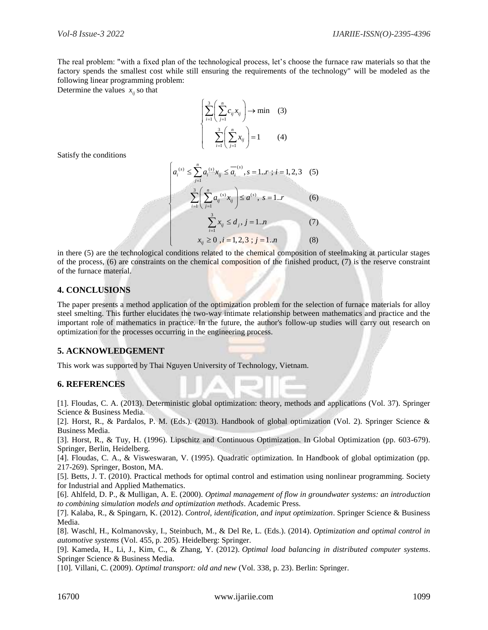The real problem: "with a fixed plan of the technological process, let's choose the furnace raw materials so that the factory spends the smallest cost while still ensuring the requirements of the technology" will be modeled as the following linear programming problem:

Determine the values  $x_{ij}$  so that

$$
\begin{cases} \sum_{i=1}^{3} \left( \sum_{j=1}^{n} c_{ij} x_{ij} \right) \to \min \quad (3) \\ \sum_{i=1}^{3} \left( \sum_{j=1}^{n} x_{ij} \right) = 1 \quad (4) \end{cases}
$$

Satisfy the conditions

$$
\begin{cases}\na_i^{(s)} \le \sum_{j=1}^n a_i^{(s)} x_{ij} \le \overline{a_i}^{(s)}, s = 1..r \; ; \; i = 1,2,3 \quad (5) \\
\sum_{i=1}^3 \left( \sum_{j=1}^n a_{ij}^{(s)} x_{ij} \right) \le a^{(s)}, \; s = 1..r \quad (6) \\
\sum_{i=1}^3 x_{ij} \le d_j, \; j = 1..n \quad (7) \\
x_{ij} \ge 0, \; i = 1,2,3 \; ; \; j = 1..n \quad (8)\n\end{cases}
$$

in there (5) are the technological conditions related to the chemical composition of steelmaking at particular stages of the process,  $(6)$  are constraints on the chemical composition of the finished product,  $(7)$  is the reserve constraint of the furnace material.

#### **4. CONCLUSIONS**

The paper presents a method application of the optimization problem for the selection of furnace materials for alloy steel smelting. This further elucidates the two-way intimate relationship between mathematics and practice and the important role of mathematics in practice. In the future, the author's follow-up studies will carry out research on optimization for the processes occurring in the engineering process.

## **5. ACKNOWLEDGEMENT**

This work was supported by Thai Nguyen University of Technology, Vietnam.

#### **6. REFERENCES**

[1]. Floudas, C. A. (2013). Deterministic global optimization: theory, methods and applications (Vol. 37). Springer Science & Business Media.

[2]. Horst, R., & Pardalos, P. M. (Eds.). (2013). Handbook of global optimization (Vol. 2). Springer Science & Business Media.

[3]. Horst, R., & Tuy, H. (1996). Lipschitz and Continuous Optimization. In Global Optimization (pp. 603-679). Springer, Berlin, Heidelberg.

[4]. Floudas, C. A., & Visweswaran, V. (1995). Quadratic optimization. In Handbook of global optimization (pp. 217-269). Springer, Boston, MA.

[5]. Betts, J. T. (2010). Practical methods for optimal control and estimation using nonlinear programming. Society for Industrial and Applied Mathematics.

[6]. Ahlfeld, D. P., & Mulligan, A. E. (2000). *Optimal management of flow in groundwater systems: an introduction to combining simulation models and optimization methods*. Academic Press.

[7]. Kalaba, R., & Spingarn, K. (2012). *Control, identification, and input optimization*. Springer Science & Business Media.

[8]. Waschl, H., Kolmanovsky, I., Steinbuch, M., & Del Re, L. (Eds.). (2014). *Optimization and optimal control in automotive systems* (Vol. 455, p. 205). Heidelberg: Springer.

[9]. Kameda, H., Li, J., Kim, C., & Zhang, Y. (2012). *Optimal load balancing in distributed computer systems*. Springer Science & Business Media.

[10]. Villani, C. (2009). *Optimal transport: old and new* (Vol. 338, p. 23). Berlin: Springer.